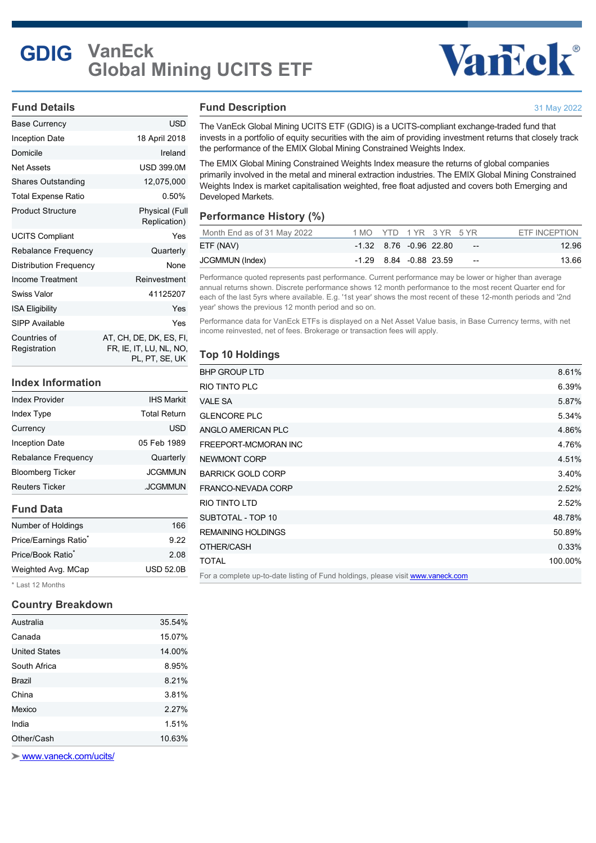# **GDIG VanEck Global Mining UCITS ETF**

# Vancek®

31 May 2022

#### **Fund Details**

| Base Currency                | USD                                                                     |
|------------------------------|-------------------------------------------------------------------------|
| <b>Inception Date</b>        | 18 April 2018                                                           |
| Domicile                     | Ireland                                                                 |
| <b>Net Assets</b>            | <b>USD 399.0M</b>                                                       |
| <b>Shares Outstanding</b>    | 12,075,000                                                              |
| Total Expense Ratio          | 0.50%                                                                   |
| <b>Product Structure</b>     | Physical (Full<br>Replication)                                          |
| <b>UCITS Compliant</b>       | Yes                                                                     |
| Rebalance Frequency          | Quarterly                                                               |
| Distribution Frequency       | None                                                                    |
| Income Treatment             | Reinvestment                                                            |
| Swiss Valor                  | 41125207                                                                |
| <b>ISA Eligibility</b>       | Yes                                                                     |
| <b>SIPP Available</b>        | Yes                                                                     |
| Countries of<br>Registration | AT, CH, DE, DK, ES, FI,<br>FR, IE, IT, LU, NL, NO,<br>pl., pt., se., uk |

#### **Index Information**

| <b>Index Provider</b>      | <b>IHS Markit</b>   |
|----------------------------|---------------------|
| Index Type                 | <b>Total Return</b> |
| Currency                   | <b>USD</b>          |
| <b>Inception Date</b>      | 05 Feb 1989         |
| <b>Rebalance Frequency</b> | Quarterly           |
| <b>Bloomberg Ticker</b>    | <b>JCGMMUN</b>      |
| <b>Reuters Ticker</b>      | <b>JCGMMUN</b>      |

#### **Fund Data**

| Number of Holdings                | 166              |
|-----------------------------------|------------------|
| Price/Earnings Ratio <sup>®</sup> | 9.22             |
| Price/Book Ratio <sup>*</sup>     | 2.08             |
| Weighted Avg. MCap                | <b>USD 52.0B</b> |
|                                   |                  |

\* Last 12 Months

#### **Country Breakdown**

| Australia            | 35.54% |
|----------------------|--------|
| Canada               | 15.07% |
| <b>United States</b> | 14.00% |
| South Africa         | 8.95%  |
| Brazil               | 8.21%  |
| China                | 3.81%  |
| Mexico               | 2.27%  |
| India                | 1.51%  |
| Other/Cash           | 10.63% |
|                      |        |

 [www.vaneck.com/ucits/](http://www.vaneck.com/ucits/)

#### **Fund Description**

The VanEck Global Mining UCITS ETF (GDIG) is a UCITS-compliant exchange-traded fund that invests in a portfolio of equity securities with the aim of providing investment returns that closely track the performance of the EMIX Global Mining Constrained Weights Index.

The EMIX Global Mining Constrained Weights Index measure the returns of global companies primarily involved in the metal and mineral extraction industries. The EMIX Global Mining Constrained Weights Index is market capitalisation weighted, free float adjusted and covers both Emerging and Developed Markets.

### **Performance History (%)**

| Month End as of 31 May 2022 | 1 MO YTD 1 YR 3 YR 5 YR    |  |                          | ETF INCEPTION |
|-----------------------------|----------------------------|--|--------------------------|---------------|
| ETF (NAV)                   | $-1.32$ 8.76 $-0.96$ 22.80 |  | $\overline{\phantom{a}}$ | 12.96         |
| JCGMMUN (Index)             | -1.29 8.84 -0.88 23.59     |  | $- -$                    | 13.66         |

Performance quoted represents past performance. Current performance may be lower or higher than average annual returns shown. Discrete performance shows 12 month performance to the most recent Quarter end for each of the last 5yrs where available. E.g. '1st year' shows the most recent of these 12-month periods and '2nd year' shows the previous 12 month period and so on.

Performance data for VanEck ETFs is displayed on a Net Asset Value basis, in Base Currency terms, with net income reinvested, net of fees. Brokerage or transaction fees will apply.

## **Top 10 Holdings**

| <b>BHP GROUP LTD</b>                                                            | 8.61%   |
|---------------------------------------------------------------------------------|---------|
| RIO TINTO PLC                                                                   | 6.39%   |
| <b>VALE SA</b>                                                                  | 5.87%   |
| <b>GLENCORE PLC</b>                                                             | 5.34%   |
| ANGLO AMERICAN PLC                                                              | 4.86%   |
| FREEPORT-MCMORAN INC                                                            | 4.76%   |
| NEWMONT CORP                                                                    | 4.51%   |
| <b>BARRICK GOLD CORP</b>                                                        | 3.40%   |
| FRANCO-NEVADA CORP                                                              | 2.52%   |
| <b>RIO TINTO LTD</b>                                                            | 2.52%   |
| SUBTOTAL - TOP 10                                                               | 48.78%  |
| <b>REMAINING HOLDINGS</b>                                                       | 50.89%  |
| OTHER/CASH                                                                      | 0.33%   |
| <b>TOTAL</b>                                                                    | 100.00% |
| For a complete up-to-date listing of Fund holdings, please visit www.vaneck.com |         |